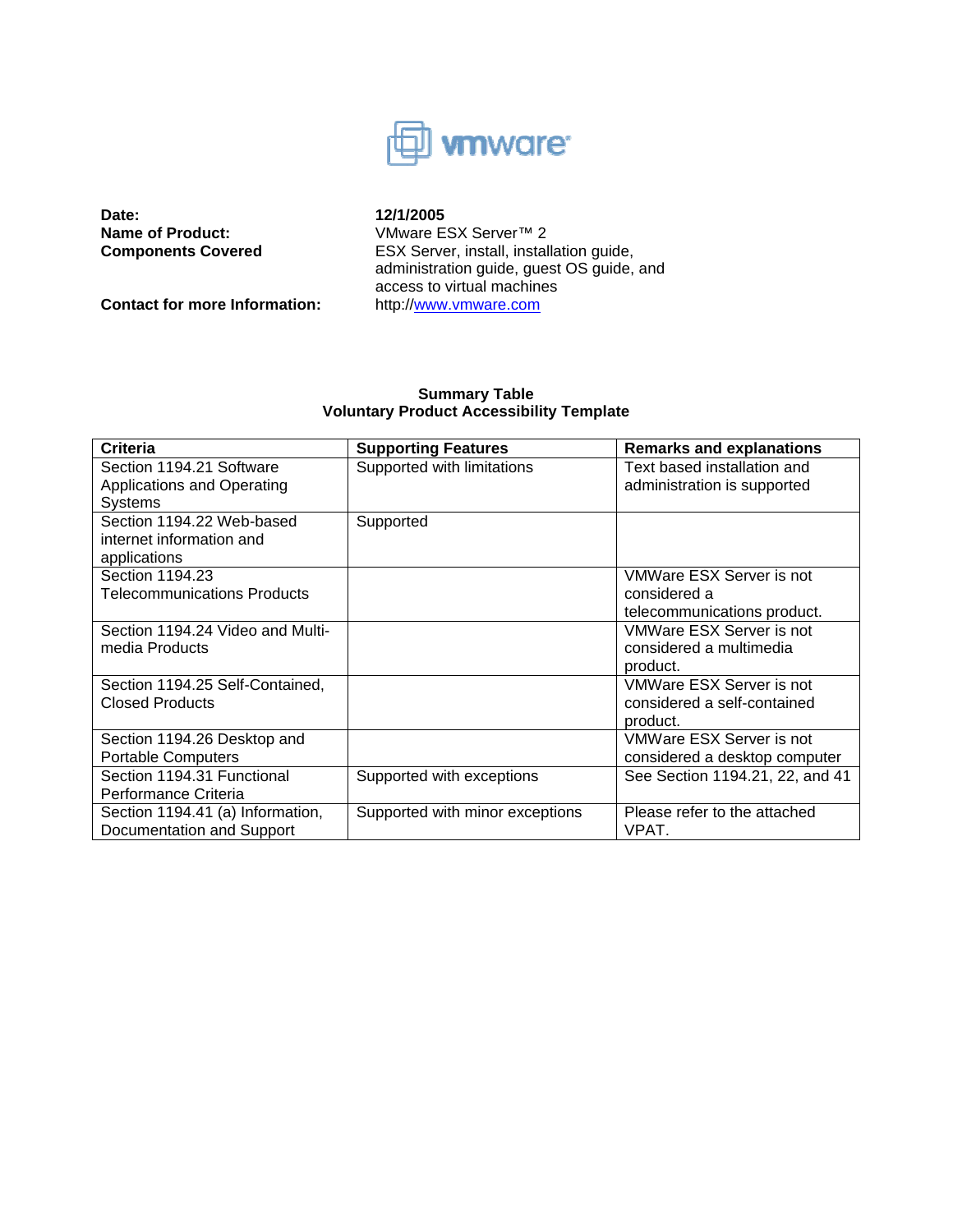

**Date: 12/1/2005**<br>**Name of Product: 12/1/2005**<br>VMware E

Contact for more Information: http://www.vmware.com

**Name of Product:** VMware ESX Server™ 2<br> **Components Covered** ESX Server, install, install ESX Server, install, installation guide, administration guide, guest OS guide, and access to virtual machines

# **Summary Table Voluntary Product Accessibility Template**

| <b>Criteria</b>                    | <b>Supporting Features</b>      | <b>Remarks and explanations</b> |
|------------------------------------|---------------------------------|---------------------------------|
| Section 1194.21 Software           | Supported with limitations      | Text based installation and     |
| Applications and Operating         |                                 | administration is supported     |
| <b>Systems</b>                     |                                 |                                 |
| Section 1194.22 Web-based          | Supported                       |                                 |
| internet information and           |                                 |                                 |
| applications                       |                                 |                                 |
| Section 1194.23                    |                                 | VMWare ESX Server is not        |
| <b>Telecommunications Products</b> |                                 | considered a                    |
|                                    |                                 | telecommunications product.     |
| Section 1194.24 Video and Multi-   |                                 | VMWare ESX Server is not        |
| media Products                     |                                 | considered a multimedia         |
|                                    |                                 | product.                        |
| Section 1194.25 Self-Contained,    |                                 | VMWare ESX Server is not        |
| <b>Closed Products</b>             |                                 | considered a self-contained     |
|                                    |                                 | product.                        |
| Section 1194.26 Desktop and        |                                 | VMWare ESX Server is not        |
| <b>Portable Computers</b>          |                                 | considered a desktop computer   |
| Section 1194.31 Functional         | Supported with exceptions       | See Section 1194.21, 22, and 41 |
| Performance Criteria               |                                 |                                 |
| Section 1194.41 (a) Information,   | Supported with minor exceptions | Please refer to the attached    |
| Documentation and Support          |                                 | VPAT.                           |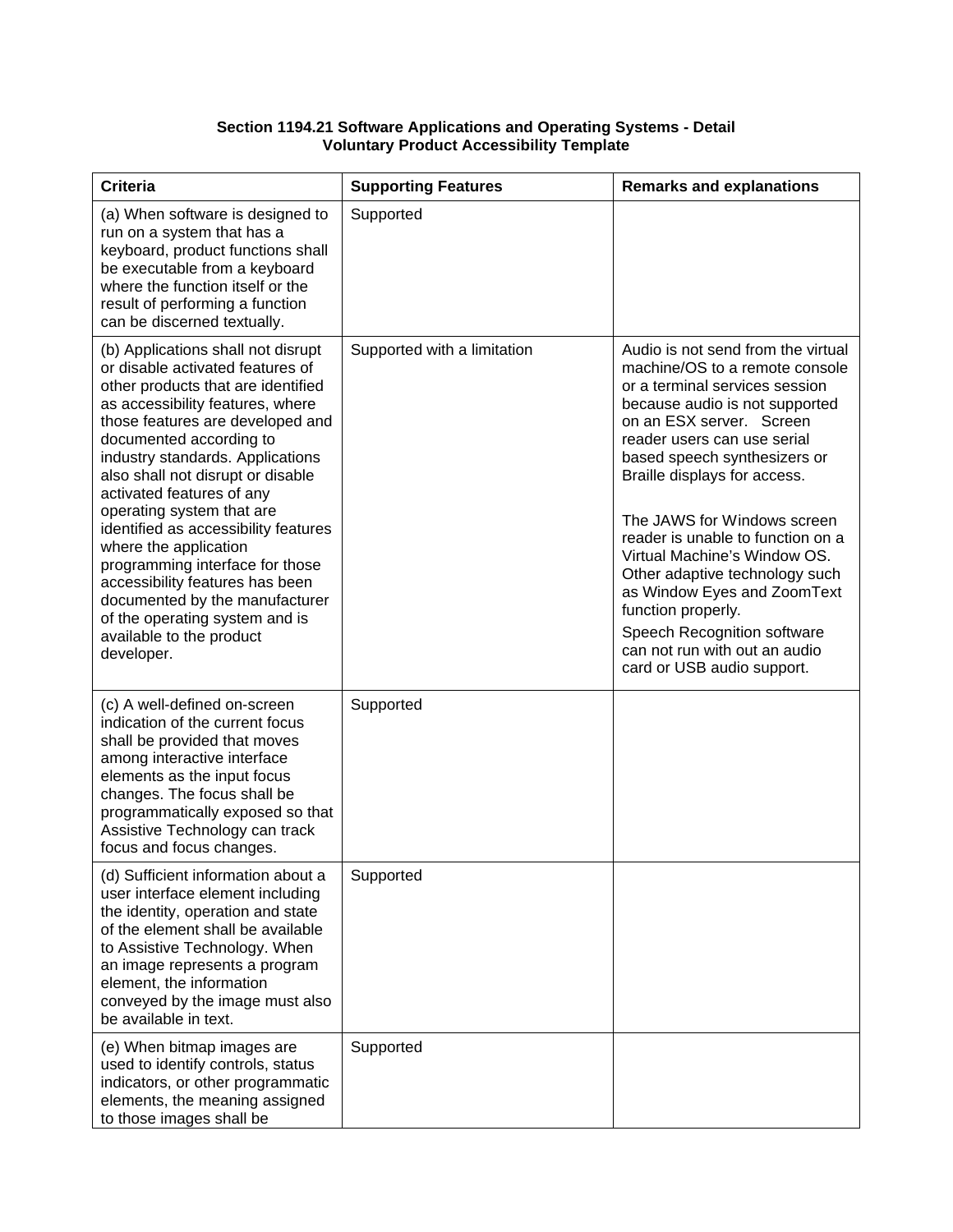## **Section 1194.21 Software Applications and Operating Systems - Detail Voluntary Product Accessibility Template**

| <b>Criteria</b>                                                                                                                                                                                                                                                                                                                                                                                                                                                                                                                                                                                         | <b>Supporting Features</b>  | <b>Remarks and explanations</b>                                                                                                                                                                                                                                                                                                                                                                                                                                                                                                                              |
|---------------------------------------------------------------------------------------------------------------------------------------------------------------------------------------------------------------------------------------------------------------------------------------------------------------------------------------------------------------------------------------------------------------------------------------------------------------------------------------------------------------------------------------------------------------------------------------------------------|-----------------------------|--------------------------------------------------------------------------------------------------------------------------------------------------------------------------------------------------------------------------------------------------------------------------------------------------------------------------------------------------------------------------------------------------------------------------------------------------------------------------------------------------------------------------------------------------------------|
| (a) When software is designed to<br>run on a system that has a<br>keyboard, product functions shall<br>be executable from a keyboard<br>where the function itself or the<br>result of performing a function<br>can be discerned textually.                                                                                                                                                                                                                                                                                                                                                              | Supported                   |                                                                                                                                                                                                                                                                                                                                                                                                                                                                                                                                                              |
| (b) Applications shall not disrupt<br>or disable activated features of<br>other products that are identified<br>as accessibility features, where<br>those features are developed and<br>documented according to<br>industry standards. Applications<br>also shall not disrupt or disable<br>activated features of any<br>operating system that are<br>identified as accessibility features<br>where the application<br>programming interface for those<br>accessibility features has been<br>documented by the manufacturer<br>of the operating system and is<br>available to the product<br>developer. | Supported with a limitation | Audio is not send from the virtual<br>machine/OS to a remote console<br>or a terminal services session<br>because audio is not supported<br>on an ESX server. Screen<br>reader users can use serial<br>based speech synthesizers or<br>Braille displays for access.<br>The JAWS for Windows screen<br>reader is unable to function on a<br>Virtual Machine's Window OS.<br>Other adaptive technology such<br>as Window Eyes and ZoomText<br>function properly.<br>Speech Recognition software<br>can not run with out an audio<br>card or USB audio support. |
| (c) A well-defined on-screen<br>indication of the current focus<br>shall be provided that moves<br>among interactive interface<br>elements as the input focus<br>changes. The focus shall be<br>programmatically exposed so that<br>Assistive Technology can track<br>focus and focus changes.                                                                                                                                                                                                                                                                                                          | Supported                   |                                                                                                                                                                                                                                                                                                                                                                                                                                                                                                                                                              |
| (d) Sufficient information about a<br>user interface element including<br>the identity, operation and state<br>of the element shall be available<br>to Assistive Technology. When<br>an image represents a program<br>element, the information<br>conveyed by the image must also<br>be available in text.                                                                                                                                                                                                                                                                                              | Supported                   |                                                                                                                                                                                                                                                                                                                                                                                                                                                                                                                                                              |
| (e) When bitmap images are<br>used to identify controls, status<br>indicators, or other programmatic<br>elements, the meaning assigned<br>to those images shall be                                                                                                                                                                                                                                                                                                                                                                                                                                      | Supported                   |                                                                                                                                                                                                                                                                                                                                                                                                                                                                                                                                                              |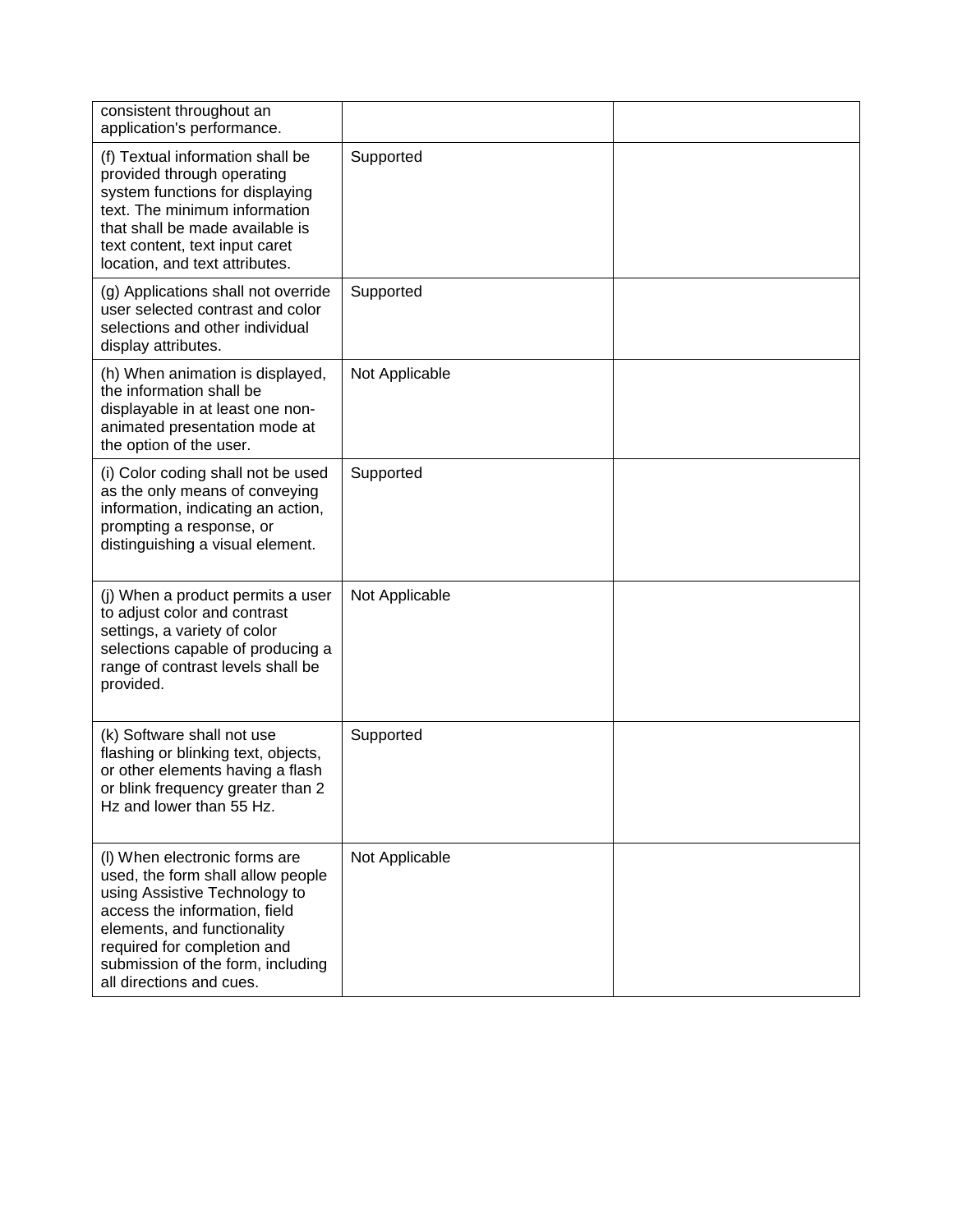| consistent throughout an<br>application's performance.                                                                                                                                                                                                              |                |  |
|---------------------------------------------------------------------------------------------------------------------------------------------------------------------------------------------------------------------------------------------------------------------|----------------|--|
| (f) Textual information shall be<br>provided through operating<br>system functions for displaying<br>text. The minimum information<br>that shall be made available is<br>text content, text input caret<br>location, and text attributes.                           | Supported      |  |
| (g) Applications shall not override<br>user selected contrast and color<br>selections and other individual<br>display attributes.                                                                                                                                   | Supported      |  |
| (h) When animation is displayed,<br>the information shall be<br>displayable in at least one non-<br>animated presentation mode at<br>the option of the user.                                                                                                        | Not Applicable |  |
| (i) Color coding shall not be used<br>as the only means of conveying<br>information, indicating an action,<br>prompting a response, or<br>distinguishing a visual element.                                                                                          | Supported      |  |
| (j) When a product permits a user<br>to adjust color and contrast<br>settings, a variety of color<br>selections capable of producing a<br>range of contrast levels shall be<br>provided.                                                                            | Not Applicable |  |
| (k) Software shall not use<br>flashing or blinking text, objects,<br>or other elements having a flash<br>or blink frequency greater than 2<br>Hz and lower than 55 Hz.                                                                                              | Supported      |  |
| (I) When electronic forms are<br>used, the form shall allow people<br>using Assistive Technology to<br>access the information, field<br>elements, and functionality<br>required for completion and<br>submission of the form, including<br>all directions and cues. | Not Applicable |  |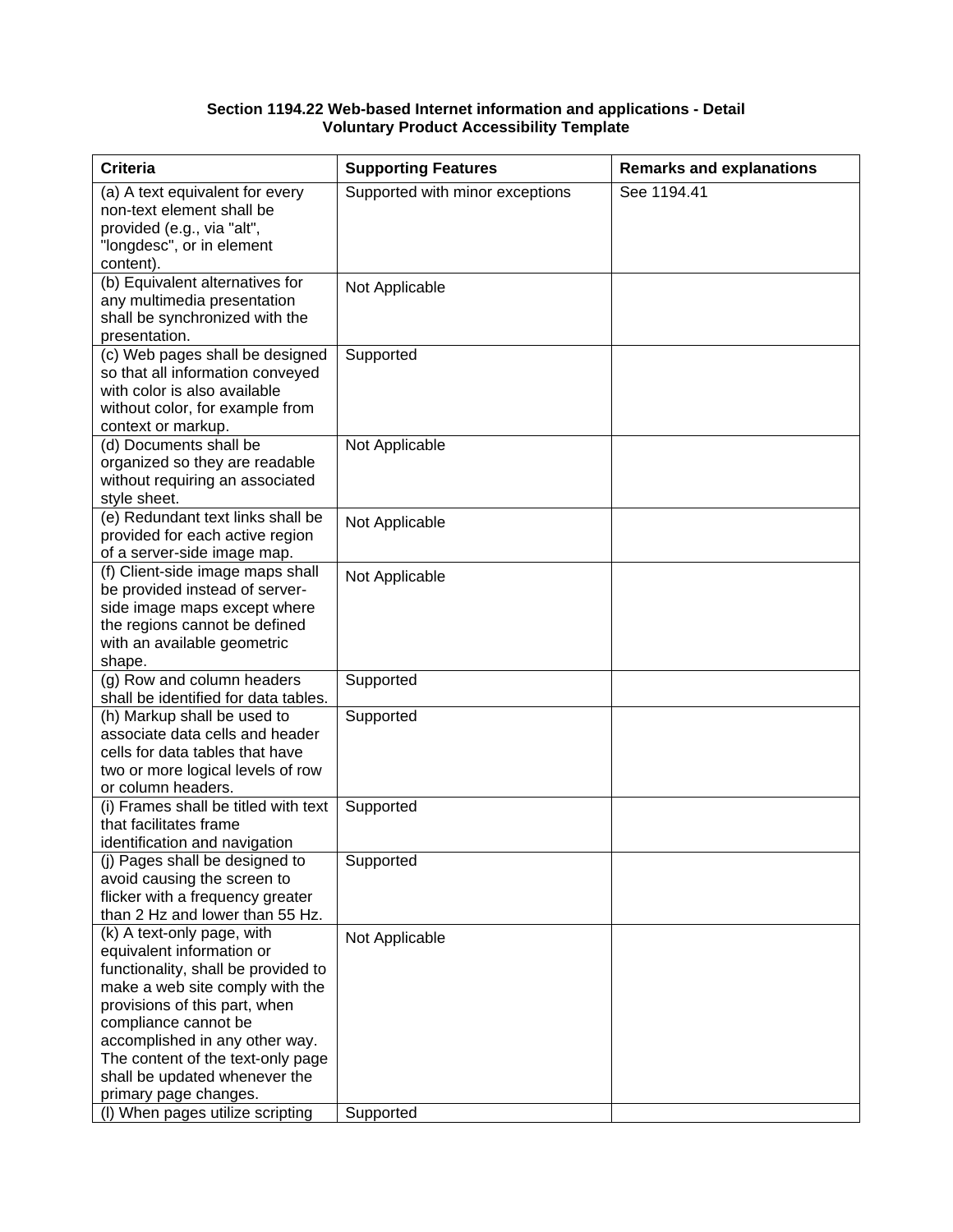#### **Section 1194.22 Web-based Internet information and applications - Detail Voluntary Product Accessibility Template**

| <b>Criteria</b>                                                | <b>Supporting Features</b>      | <b>Remarks and explanations</b> |
|----------------------------------------------------------------|---------------------------------|---------------------------------|
| (a) A text equivalent for every                                | Supported with minor exceptions | See 1194.41                     |
| non-text element shall be                                      |                                 |                                 |
| provided (e.g., via "alt",                                     |                                 |                                 |
| "longdesc", or in element                                      |                                 |                                 |
| content).                                                      |                                 |                                 |
| (b) Equivalent alternatives for                                | Not Applicable                  |                                 |
| any multimedia presentation                                    |                                 |                                 |
| shall be synchronized with the                                 |                                 |                                 |
| presentation.                                                  |                                 |                                 |
| (c) Web pages shall be designed                                | Supported                       |                                 |
| so that all information conveyed                               |                                 |                                 |
| with color is also available                                   |                                 |                                 |
| without color, for example from                                |                                 |                                 |
| context or markup.<br>(d) Documents shall be                   | Not Applicable                  |                                 |
| organized so they are readable                                 |                                 |                                 |
| without requiring an associated                                |                                 |                                 |
| style sheet.                                                   |                                 |                                 |
| (e) Redundant text links shall be                              |                                 |                                 |
| provided for each active region                                | Not Applicable                  |                                 |
| of a server-side image map.                                    |                                 |                                 |
| (f) Client-side image maps shall                               | Not Applicable                  |                                 |
| be provided instead of server-                                 |                                 |                                 |
| side image maps except where                                   |                                 |                                 |
| the regions cannot be defined                                  |                                 |                                 |
| with an available geometric                                    |                                 |                                 |
| shape.                                                         |                                 |                                 |
| (g) Row and column headers                                     | Supported                       |                                 |
| shall be identified for data tables.                           |                                 |                                 |
| (h) Markup shall be used to                                    | Supported                       |                                 |
| associate data cells and header                                |                                 |                                 |
| cells for data tables that have                                |                                 |                                 |
| two or more logical levels of row                              |                                 |                                 |
| or column headers.                                             |                                 |                                 |
| (i) Frames shall be titled with text<br>that facilitates frame | Supported                       |                                 |
| identification and navigation                                  |                                 |                                 |
| (i) Pages shall be designed to                                 | Supported                       |                                 |
| avoid causing the screen to                                    |                                 |                                 |
| flicker with a frequency greater                               |                                 |                                 |
| than 2 Hz and lower than 55 Hz.                                |                                 |                                 |
| (k) A text-only page, with                                     | Not Applicable                  |                                 |
| equivalent information or                                      |                                 |                                 |
| functionality, shall be provided to                            |                                 |                                 |
| make a web site comply with the                                |                                 |                                 |
| provisions of this part, when                                  |                                 |                                 |
| compliance cannot be                                           |                                 |                                 |
| accomplished in any other way.                                 |                                 |                                 |
| The content of the text-only page                              |                                 |                                 |
| shall be updated whenever the                                  |                                 |                                 |
| primary page changes.                                          |                                 |                                 |
| (I) When pages utilize scripting                               | Supported                       |                                 |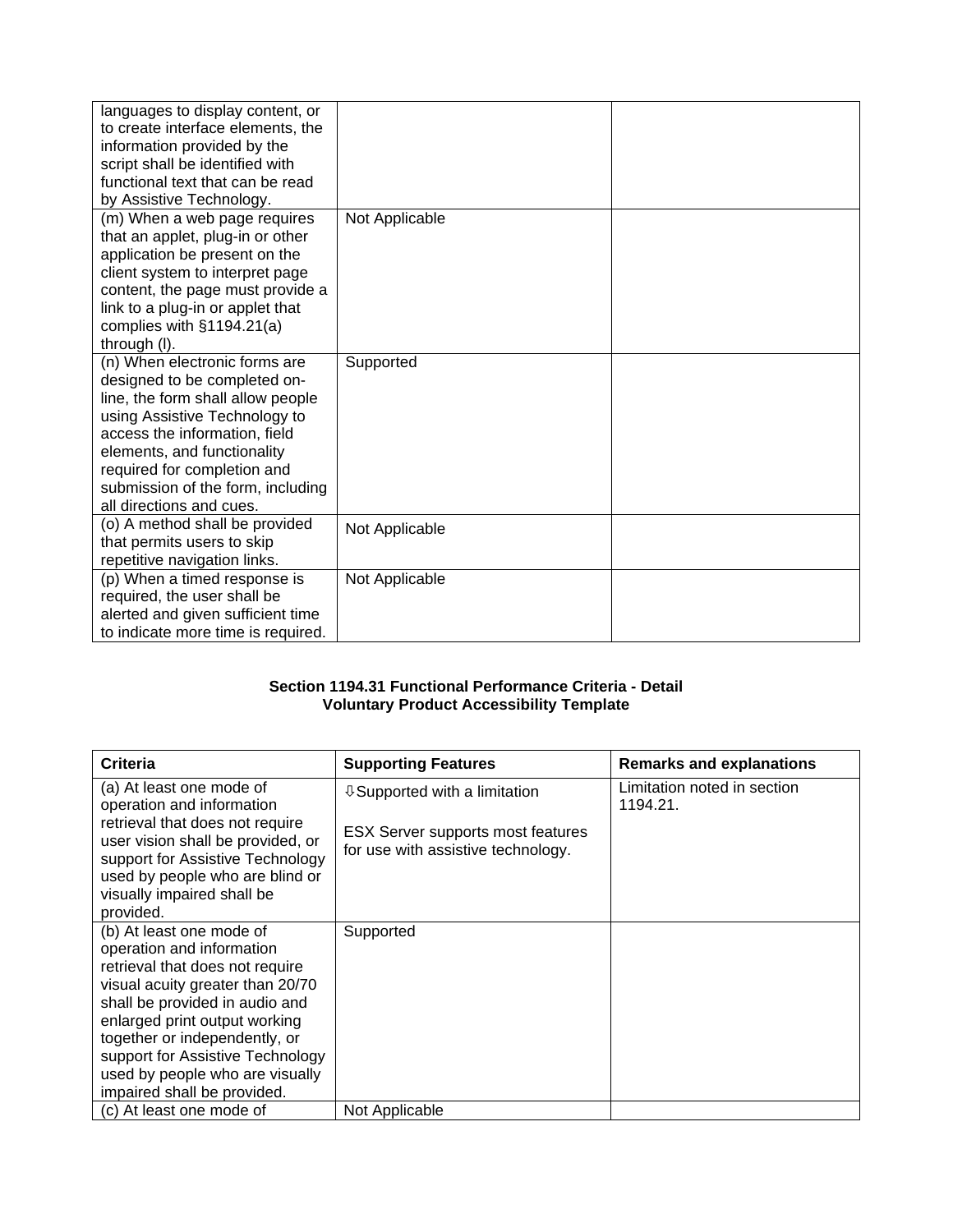| languages to display content, or<br>to create interface elements, the<br>information provided by the<br>script shall be identified with<br>functional text that can be read<br>by Assistive Technology.                                                                                             |                |  |
|-----------------------------------------------------------------------------------------------------------------------------------------------------------------------------------------------------------------------------------------------------------------------------------------------------|----------------|--|
| (m) When a web page requires<br>that an applet, plug-in or other<br>application be present on the<br>client system to interpret page<br>content, the page must provide a<br>link to a plug-in or applet that<br>complies with §1194.21(a)<br>through (I).                                           | Not Applicable |  |
| (n) When electronic forms are<br>designed to be completed on-<br>line, the form shall allow people<br>using Assistive Technology to<br>access the information, field<br>elements, and functionality<br>required for completion and<br>submission of the form, including<br>all directions and cues. | Supported      |  |
| (o) A method shall be provided<br>that permits users to skip<br>repetitive navigation links.                                                                                                                                                                                                        | Not Applicable |  |
| (p) When a timed response is<br>required, the user shall be<br>alerted and given sufficient time<br>to indicate more time is required.                                                                                                                                                              | Not Applicable |  |

## **Section 1194.31 Functional Performance Criteria - Detail Voluntary Product Accessibility Template**

| Criteria                                                                                                                                                                                                                                                                                                                               | <b>Supporting Features</b>                                                                                             | <b>Remarks and explanations</b>         |
|----------------------------------------------------------------------------------------------------------------------------------------------------------------------------------------------------------------------------------------------------------------------------------------------------------------------------------------|------------------------------------------------------------------------------------------------------------------------|-----------------------------------------|
| (a) At least one mode of<br>operation and information<br>retrieval that does not require<br>user vision shall be provided, or<br>support for Assistive Technology<br>used by people who are blind or<br>visually impaired shall be<br>provided.                                                                                        | <b>↓ Supported with a limitation</b><br><b>ESX Server supports most features</b><br>for use with assistive technology. | Limitation noted in section<br>1194.21. |
| (b) At least one mode of<br>operation and information<br>retrieval that does not require<br>visual acuity greater than 20/70<br>shall be provided in audio and<br>enlarged print output working<br>together or independently, or<br>support for Assistive Technology<br>used by people who are visually<br>impaired shall be provided. | Supported                                                                                                              |                                         |
| (c) At least one mode of                                                                                                                                                                                                                                                                                                               | Not Applicable                                                                                                         |                                         |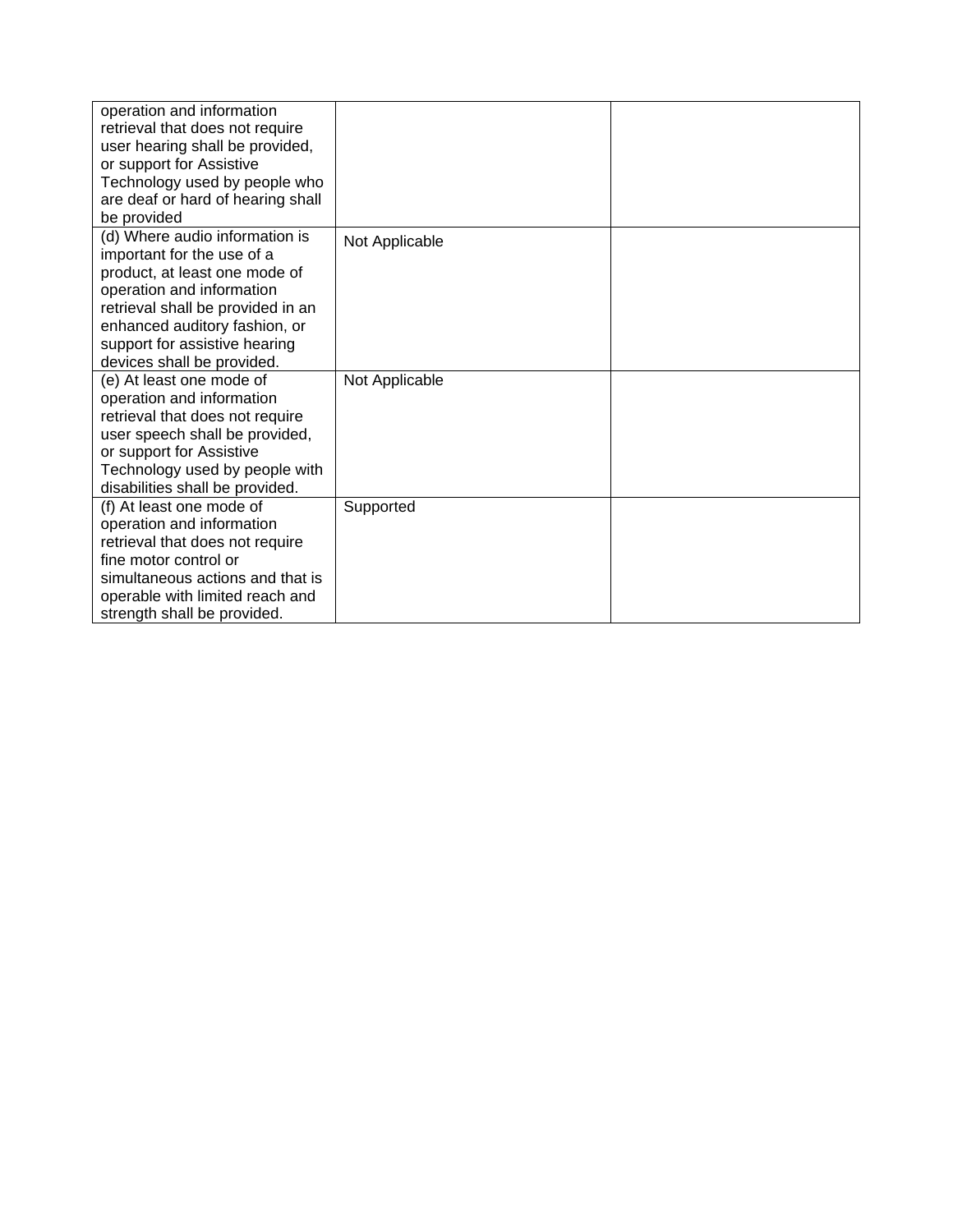| operation and information<br>retrieval that does not require<br>user hearing shall be provided,<br>or support for Assistive<br>Technology used by people who<br>are deaf or hard of hearing shall                                                                              |                |  |
|--------------------------------------------------------------------------------------------------------------------------------------------------------------------------------------------------------------------------------------------------------------------------------|----------------|--|
| be provided<br>(d) Where audio information is<br>important for the use of a<br>product, at least one mode of<br>operation and information<br>retrieval shall be provided in an<br>enhanced auditory fashion, or<br>support for assistive hearing<br>devices shall be provided. | Not Applicable |  |
| (e) At least one mode of<br>operation and information<br>retrieval that does not require<br>user speech shall be provided,<br>or support for Assistive<br>Technology used by people with<br>disabilities shall be provided.                                                    | Not Applicable |  |
| (f) At least one mode of<br>operation and information<br>retrieval that does not require<br>fine motor control or<br>simultaneous actions and that is<br>operable with limited reach and<br>strength shall be provided.                                                        | Supported      |  |